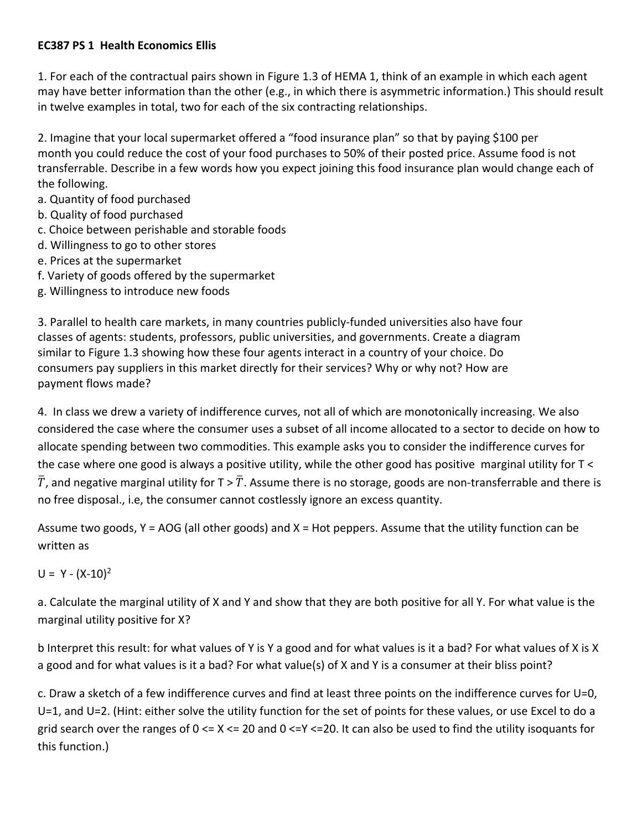## **EC387 PS 1 Health Economics Ellis**

1. For each of the contractual pairs shown in Figure 1.3 of HEMA 1, think of an example in which each agent may have better information than the other (e.g., in which there is asymmetric information.) This should result in twelve examples in total, two for each of the six contracting relationships.

2. Imagine that your local supermarket offered a "food insurance plan" so that by paying \$100 per month you could reduce the cost of your food purchases to 50% of their posted price. Assume food is not transferrable. Describe in a few words how you expect joining this food insurance plan would change each of the following.

- a. Quantity of food purchased
- b. Quality of food purchased
- c. Choice between perishable and storable foods
- d. Willingness to go to other stores
- e. Prices at the supermarket
- f. Variety of goods offered by the supermarket
- g. Willingness to introduce new foods

3. Parallel to health care markets, in many countries publicly‐funded universities also have four classes of agents: students, professors, public universities, and governments. Create a diagram similar to Figure 1.3 showing how these four agents interact in a country of your choice. Do consumers pay suppliers in this market directly for their services? Why or why not? How are payment flows made?

4. In class we drew a variety of indifference curves, not all of which are monotonically increasing. We also considered the case where the consumer uses a subset of all income allocated to a sector to decide on how to allocate spending between two commodities. This example asks you to consider the indifference curves for the case where one good is always a positive utility, while the other good has positive marginal utility for T <  $\bar{T}$ , and negative marginal utility for T >  $\bar{T}$ . Assume there is no storage, goods are non-transferrable and there is no free disposal., i.e, the consumer cannot costlessly ignore an excess quantity.

Assume two goods,  $Y = AOG$  (all other goods) and  $X = Hot$  peppers. Assume that the utility function can be written as

 $U = Y - (X-10)^2$ 

a. Calculate the marginal utility of X and Y and show that they are both positive for all Y. For what value is the marginal utility positive for X?

b Interpret this result: for what values of Y is Y a good and for what values is it a bad? For what values of X is X a good and for what values is it a bad? For what value(s) of X and Y is a consumer at their bliss point?

c. Draw a sketch of a few indifference curves and find at least three points on the indifference curves for U=0, U=1, and U=2. (Hint: either solve the utility function for the set of points for these values, or use Excel to do a grid search over the ranges of  $0 \le X \le 20$  and  $0 \le Y \le 20$ . It can also be used to find the utility isoquants for this function.)